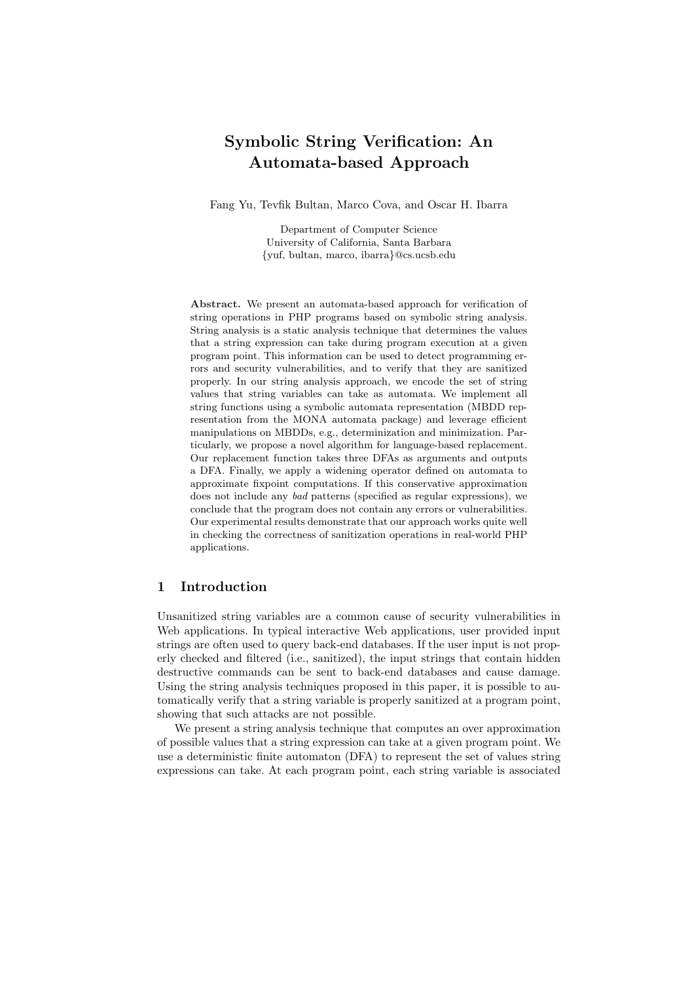# Symbolic String Verification: An Automata-based Approach

Fang Yu, Tevfik Bultan, Marco Cova, and Oscar H. Ibarra

Department of Computer Science University of California, Santa Barbara {yuf, bultan, marco, ibarra}@cs.ucsb.edu

Abstract. We present an automata-based approach for verification of string operations in PHP programs based on symbolic string analysis. String analysis is a static analysis technique that determines the values that a string expression can take during program execution at a given program point. This information can be used to detect programming errors and security vulnerabilities, and to verify that they are sanitized properly. In our string analysis approach, we encode the set of string values that string variables can take as automata. We implement all string functions using a symbolic automata representation (MBDD representation from the MONA automata package) and leverage efficient manipulations on MBDDs, e.g., determinization and minimization. Particularly, we propose a novel algorithm for language-based replacement. Our replacement function takes three DFAs as arguments and outputs a DFA. Finally, we apply a widening operator defined on automata to approximate fixpoint computations. If this conservative approximation does not include any bad patterns (specified as regular expressions), we conclude that the program does not contain any errors or vulnerabilities. Our experimental results demonstrate that our approach works quite well in checking the correctness of sanitization operations in real-world PHP applications.

#### 1 Introduction

Unsanitized string variables are a common cause of security vulnerabilities in Web applications. In typical interactive Web applications, user provided input strings are often used to query back-end databases. If the user input is not properly checked and filtered (i.e., sanitized), the input strings that contain hidden destructive commands can be sent to back-end databases and cause damage. Using the string analysis techniques proposed in this paper, it is possible to automatically verify that a string variable is properly sanitized at a program point, showing that such attacks are not possible.

We present a string analysis technique that computes an over approximation of possible values that a string expression can take at a given program point. We use a deterministic finite automaton (DFA) to represent the set of values string expressions can take. At each program point, each string variable is associated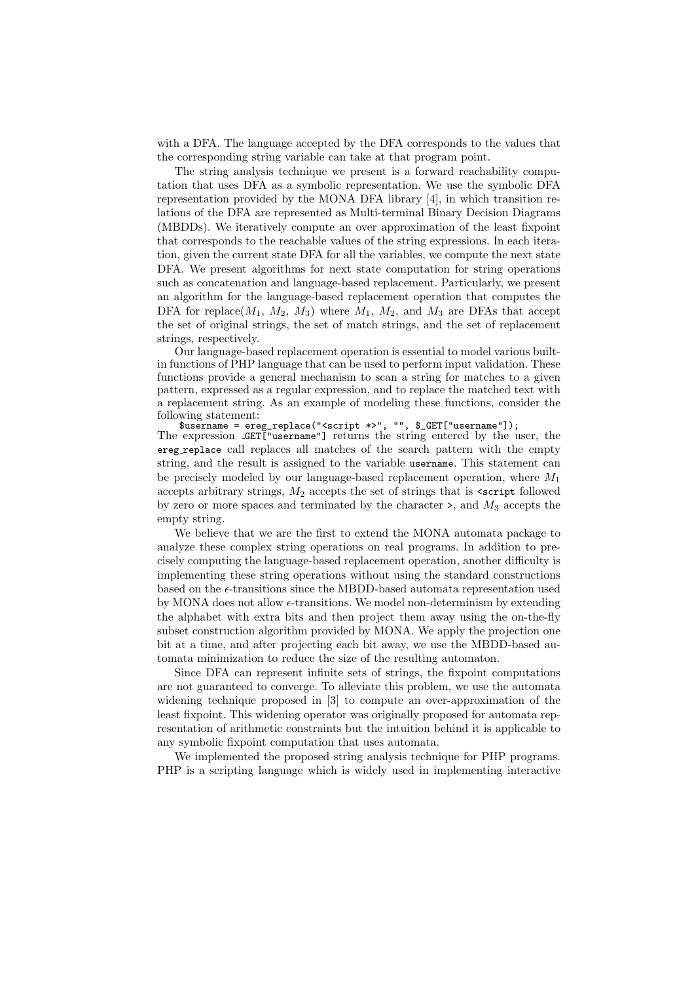with a DFA. The language accepted by the DFA corresponds to the values that the corresponding string variable can take at that program point.

The string analysis technique we present is a forward reachability computation that uses DFA as a symbolic representation. We use the symbolic DFA representation provided by the MONA DFA library [4], in which transition relations of the DFA are represented as Multi-terminal Binary Decision Diagrams (MBDDs). We iteratively compute an over approximation of the least fixpoint that corresponds to the reachable values of the string expressions. In each iteration, given the current state DFA for all the variables, we compute the next state DFA. We present algorithms for next state computation for string operations such as concatenation and language-based replacement. Particularly, we present an algorithm for the language-based replacement operation that computes the DFA for replace( $M_1$ ,  $M_2$ ,  $M_3$ ) where  $M_1$ ,  $M_2$ , and  $M_3$  are DFAs that accept the set of original strings, the set of match strings, and the set of replacement strings, respectively.

Our language-based replacement operation is essential to model various builtin functions of PHP language that can be used to perform input validation. These functions provide a general mechanism to scan a string for matches to a given pattern, expressed as a regular expression, and to replace the matched text with a replacement string. As an example of modeling these functions, consider the following statement:

\$username = ereg\_replace("<script \*>", "", \$\_GET["username"]);

The expression **GET**["username"] returns the string entered by the user, the ereg replace call replaces all matches of the search pattern with the empty string, and the result is assigned to the variable username. This statement can be precisely modeled by our language-based replacement operation, where  $M_1$ accepts arbitrary strings,  $M_2$  accepts the set of strings that is  $\leq$  script followed by zero or more spaces and terminated by the character  $\ge$ , and  $M_3$  accepts the empty string.

We believe that we are the first to extend the MONA automata package to analyze these complex string operations on real programs. In addition to precisely computing the language-based replacement operation, another difficulty is implementing these string operations without using the standard constructions based on the  $\epsilon$ -transitions since the MBDD-based automata representation used by MONA does not allow  $\epsilon$ -transitions. We model non-determinism by extending the alphabet with extra bits and then project them away using the on-the-fly subset construction algorithm provided by MONA. We apply the projection one bit at a time, and after projecting each bit away, we use the MBDD-based automata minimization to reduce the size of the resulting automaton.

Since DFA can represent infinite sets of strings, the fixpoint computations are not guaranteed to converge. To alleviate this problem, we use the automata widening technique proposed in [3] to compute an over-approximation of the least fixpoint. This widening operator was originally proposed for automata representation of arithmetic constraints but the intuition behind it is applicable to any symbolic fixpoint computation that uses automata.

We implemented the proposed string analysis technique for PHP programs. PHP is a scripting language which is widely used in implementing interactive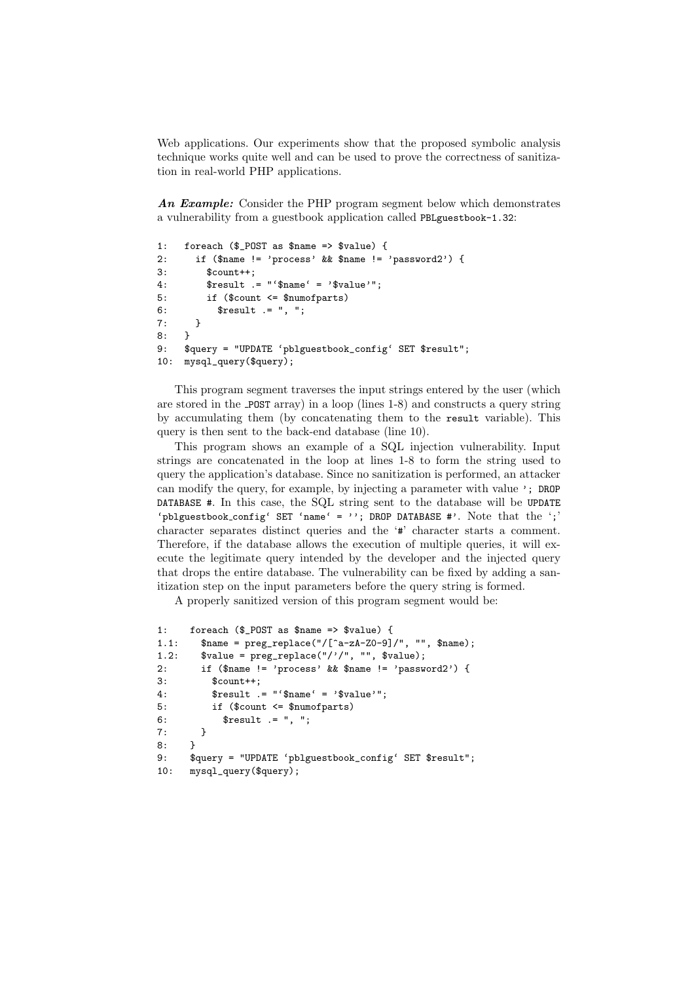Web applications. Our experiments show that the proposed symbolic analysis technique works quite well and can be used to prove the correctness of sanitization in real-world PHP applications.

An Example: Consider the PHP program segment below which demonstrates a vulnerability from a guestbook application called PBLguestbook-1.32:

```
1: foreach ($_POST as $name => $value) {
2: if ($name != 'process' && $name != 'password2') {
3: $count++;
4: $result .= "'$name' = '$value'";
5: if ($count <= $numofparts)
6: $result .= ", ";
7: }
8: }
9: $query = "UPDATE 'pblguestbook_config' SET $result";
10: mysql_query($query);
```
This program segment traverses the input strings entered by the user (which are stored in the POST array) in a loop (lines 1-8) and constructs a query string by accumulating them (by concatenating them to the result variable). This query is then sent to the back-end database (line 10).

This program shows an example of a SQL injection vulnerability. Input strings are concatenated in the loop at lines 1-8 to form the string used to query the application's database. Since no sanitization is performed, an attacker can modify the query, for example, by injecting a parameter with value '; DROP DATABASE #. In this case, the SQL string sent to the database will be UPDATE 'pblguestbook config' SET 'name' = ''; DROP DATABASE #'. Note that the ';' character separates distinct queries and the '#' character starts a comment. Therefore, if the database allows the execution of multiple queries, it will execute the legitimate query intended by the developer and the injected query that drops the entire database. The vulnerability can be fixed by adding a sanitization step on the input parameters before the query string is formed.

A properly sanitized version of this program segment would be:

```
1: foreach ($_POST as $name => $value) {
1.1: \text{name} = \text{preg\_replace}("/[^a-zA-Z0-9]/", "", \text{frame});1.2: \text{value} = \text{preg\_replace}("///", \text{ ""}, \text{ } \text{value};2: if ($name != 'process' && $name != 'password2') {
3: $count++;
4: $result .= "'$name' = '$value'";
5: if ($count <= $numofparts)
6: $result .= ", ";
7: }
8: }
9: $query = "UPDATE 'pblguestbook_config' SET $result";
10: mysql_query($query);
```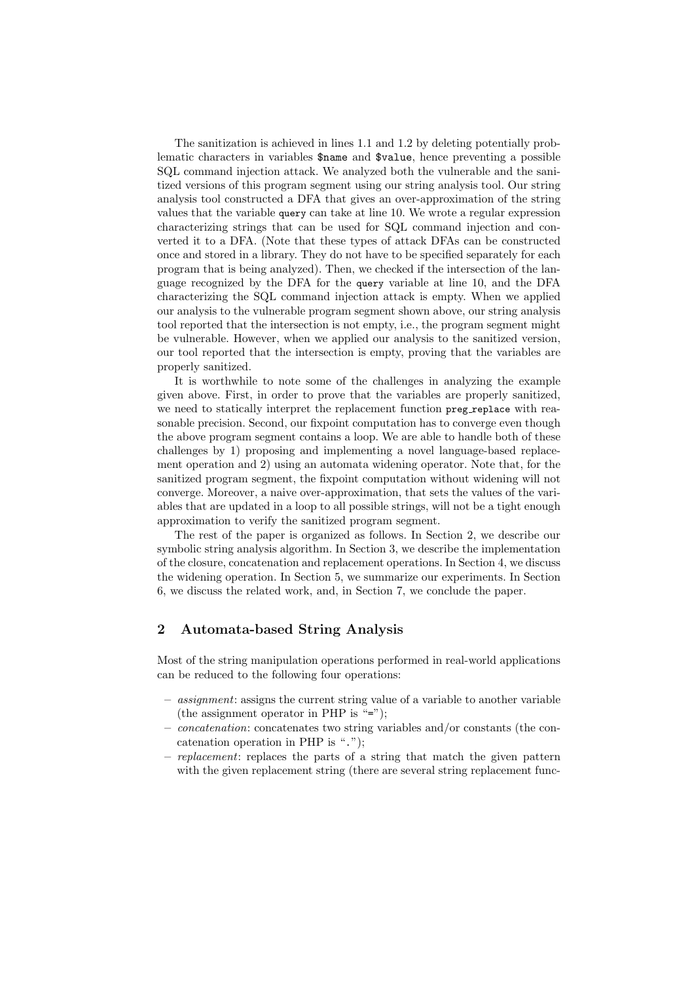The sanitization is achieved in lines 1.1 and 1.2 by deleting potentially problematic characters in variables \$name and \$value, hence preventing a possible SQL command injection attack. We analyzed both the vulnerable and the sanitized versions of this program segment using our string analysis tool. Our string analysis tool constructed a DFA that gives an over-approximation of the string values that the variable query can take at line 10. We wrote a regular expression characterizing strings that can be used for SQL command injection and converted it to a DFA. (Note that these types of attack DFAs can be constructed once and stored in a library. They do not have to be specified separately for each program that is being analyzed). Then, we checked if the intersection of the language recognized by the DFA for the query variable at line 10, and the DFA characterizing the SQL command injection attack is empty. When we applied our analysis to the vulnerable program segment shown above, our string analysis tool reported that the intersection is not empty, i.e., the program segment might be vulnerable. However, when we applied our analysis to the sanitized version, our tool reported that the intersection is empty, proving that the variables are properly sanitized.

It is worthwhile to note some of the challenges in analyzing the example given above. First, in order to prove that the variables are properly sanitized, we need to statically interpret the replacement function preg replace with reasonable precision. Second, our fixpoint computation has to converge even though the above program segment contains a loop. We are able to handle both of these challenges by 1) proposing and implementing a novel language-based replacement operation and 2) using an automata widening operator. Note that, for the sanitized program segment, the fixpoint computation without widening will not converge. Moreover, a naive over-approximation, that sets the values of the variables that are updated in a loop to all possible strings, will not be a tight enough approximation to verify the sanitized program segment.

The rest of the paper is organized as follows. In Section 2, we describe our symbolic string analysis algorithm. In Section 3, we describe the implementation of the closure, concatenation and replacement operations. In Section 4, we discuss the widening operation. In Section 5, we summarize our experiments. In Section 6, we discuss the related work, and, in Section 7, we conclude the paper.

# 2 Automata-based String Analysis

Most of the string manipulation operations performed in real-world applications can be reduced to the following four operations:

- assignment: assigns the current string value of a variable to another variable (the assignment operator in PHP is "=");
- concatenation: concatenates two string variables and/or constants (the concatenation operation in PHP is ".");
- replacement: replaces the parts of a string that match the given pattern with the given replacement string (there are several string replacement func-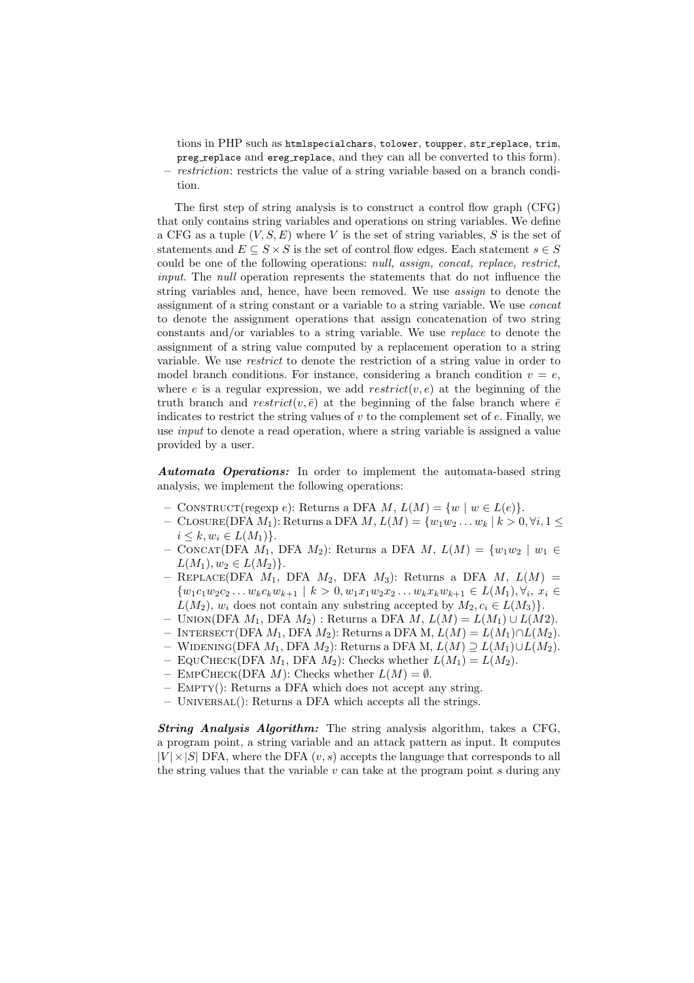tions in PHP such as htmlspecialchars, tolower, toupper, str replace, trim, preg replace and ereg replace, and they can all be converted to this form). restriction: restricts the value of a string variable based on a branch condition.

The first step of string analysis is to construct a control flow graph (CFG) that only contains string variables and operations on string variables. We define a CFG as a tuple  $(V, S, E)$  where V is the set of string variables, S is the set of statements and  $E \subseteq S \times S$  is the set of control flow edges. Each statement  $s \in S$ could be one of the following operations: null, assign, concat, replace, restrict, input. The null operation represents the statements that do not influence the string variables and, hence, have been removed. We use assign to denote the assignment of a string constant or a variable to a string variable. We use concat to denote the assignment operations that assign concatenation of two string constants and/or variables to a string variable. We use replace to denote the assignment of a string value computed by a replacement operation to a string variable. We use restrict to denote the restriction of a string value in order to model branch conditions. For instance, considering a branch condition  $v = e$ , where e is a regular expression, we add  $restrict(v, e)$  at the beginning of the truth branch and  $restrict(v, \bar{e})$  at the beginning of the false branch where  $\bar{e}$ indicates to restrict the string values of  $v$  to the complement set of  $e$ . Finally, we use input to denote a read operation, where a string variable is assigned a value provided by a user.

Automata Operations: In order to implement the automata-based string analysis, we implement the following operations:

- CONSTRUCT(regexp e): Returns a DFA  $M$ ,  $L(M) = \{w \mid w \in L(e)\}.$
- CLOSURE(DFA  $M_1$ ): Returns a DFA  $M, L(M) = \{w_1w_2...w_k \mid k > 0, \forall i, 1 \leq$  $i \leq k, w_i \in L(M_1)$ .
- CONCAT(DFA  $M_1$ , DFA  $M_2$ ): Returns a DFA  $M$ ,  $L(M) = \{w_1w_2 \mid w_1 \in$  $L(M_1), w_2 \in L(M_2)$ .
- REPLACE(DFA  $M_1$ , DFA  $M_2$ , DFA  $M_3$ ): Returns a DFA  $M$ ,  $L(M)$  =  $\{w_1c_1w_2c_2\ldots w_kc_kw_{k+1} \mid k>0, w_1x_1w_2x_2\ldots w_kx_kw_{k+1} \in L(M_1), \forall i, x_i \in$  $L(M_2)$ ,  $w_i$  does not contain any substring accepted by  $M_2, c_i \in L(M_3)$ .
- UNION(DFA  $M_1$ , DFA  $M_2$ ) : Returns a DFA  $M$ ,  $L(M) = L(M_1) \cup L(M2)$ .
- Intersect(DFA M1, DFA M2): Returns a DFA M, L(M) = L(M1)∩L(M2).
- WIDENING(DFA  $M_1$ , DFA  $M_2$ ): Returns a DFA M,  $L(M) \supseteq L(M_1) \cup L(M_2)$ .
- EQUCHECK(DFA  $M_1$ , DFA  $M_2$ ): Checks whether  $L(M_1) = L(M_2)$ .
- EMPCHECK(DFA M): Checks whether  $L(M) = \emptyset$ .
- Empty(): Returns a DFA which does not accept any string.
- $-$  UNIVERSAL(): Returns a DFA which accepts all the strings.

String Analysis Algorithm: The string analysis algorithm, takes a CFG, a program point, a string variable and an attack pattern as input. It computes  $|V| \times |S|$  DFA, where the DFA  $(v, s)$  accepts the language that corresponds to all the string values that the variable  $v$  can take at the program point s during any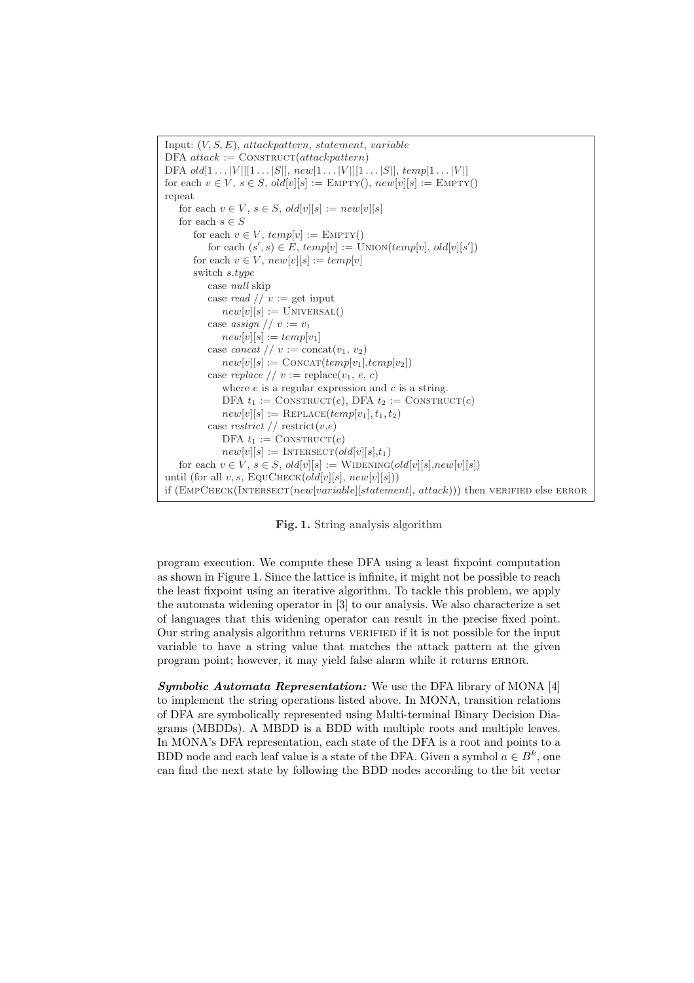

Fig. 1. String analysis algorithm

program execution. We compute these DFA using a least fixpoint computation as shown in Figure 1. Since the lattice is infinite, it might not be possible to reach the least fixpoint using an iterative algorithm. To tackle this problem, we apply the automata widening operator in [3] to our analysis. We also characterize a set of languages that this widening operator can result in the precise fixed point. Our string analysis algorithm returns VERIFIED if it is not possible for the input variable to have a string value that matches the attack pattern at the given program point; however, it may yield false alarm while it returns ERROR.

Symbolic Automata Representation: We use the DFA library of MONA [4] to implement the string operations listed above. In MONA, transition relations of DFA are symbolically represented using Multi-terminal Binary Decision Diagrams (MBDDs). A MBDD is a BDD with multiple roots and multiple leaves. In MONA's DFA representation, each state of the DFA is a root and points to a BDD node and each leaf value is a state of the DFA. Given a symbol  $a \in B^k$ , one can find the next state by following the BDD nodes according to the bit vector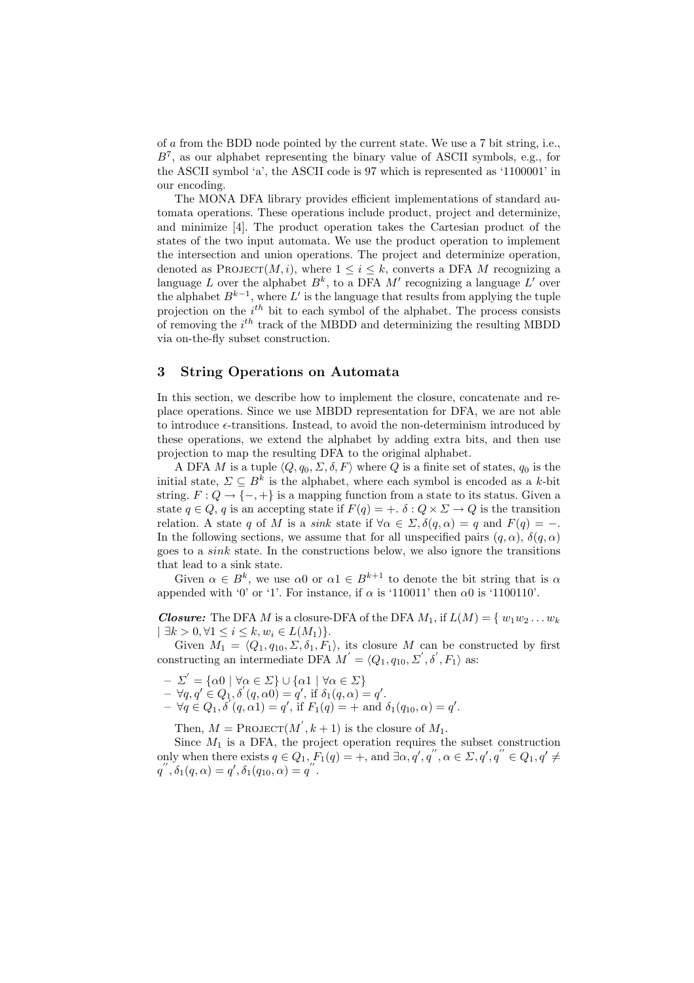of a from the BDD node pointed by the current state. We use a 7 bit string, i.e.,  $B<sup>7</sup>$ , as our alphabet representing the binary value of ASCII symbols, e.g., for the ASCII symbol 'a', the ASCII code is 97 which is represented as '1100001' in our encoding.

The MONA DFA library provides efficient implementations of standard automata operations. These operations include product, project and determinize, and minimize [4]. The product operation takes the Cartesian product of the states of the two input automata. We use the product operation to implement the intersection and union operations. The project and determinize operation, denoted as PROJECT $(M, i)$ , where  $1 \leq i \leq k$ , converts a DFA M recognizing a language L over the alphabet  $B^k$ , to a DFA M' recognizing a language L' over the alphabet  $B^{k-1}$ , where L' is the language that results from applying the tuple projection on the  $i^{th}$  bit to each symbol of the alphabet. The process consists of removing the  $i^{th}$  track of the MBDD and determinizing the resulting MBDD via on-the-fly subset construction.

#### 3 String Operations on Automata

In this section, we describe how to implement the closure, concatenate and replace operations. Since we use MBDD representation for DFA, we are not able to introduce  $\epsilon$ -transitions. Instead, to avoid the non-determinism introduced by these operations, we extend the alphabet by adding extra bits, and then use projection to map the resulting DFA to the original alphabet.

A DFA M is a tuple  $\langle Q, q_0, \Sigma, \delta, F \rangle$  where Q is a finite set of states,  $q_0$  is the initial state,  $\Sigma \subseteq B^k$  is the alphabet, where each symbol is encoded as a k-bit string.  $F: Q \to \{-, +\}$  is a mapping function from a state to its status. Given a state  $q \in Q$ , q is an accepting state if  $F(q) = +$ .  $\delta: Q \times \Sigma \to Q$  is the transition relation. A state q of M is a sink state if  $\forall \alpha \in \Sigma$ ,  $\delta(q, \alpha) = q$  and  $F(q) = -$ . In the following sections, we assume that for all unspecified pairs  $(q, \alpha)$ ,  $\delta(q, \alpha)$ goes to a sink state. In the constructions below, we also ignore the transitions that lead to a sink state.

Given  $\alpha \in B^k$ , we use  $\alpha \in \Omega$  or  $\alpha \in B^{k+1}$  to denote the bit string that is  $\alpha$ appended with '0' or '1'. For instance, if  $\alpha$  is '110011' then  $\alpha$ 0 is '1100110'.

**Closure:** The DFA M is a closure-DFA of the DFA  $M_1$ , if  $L(M) = \{w_1w_2...w_k\}$  $|\exists k > 0, \forall 1 \leq i \leq k, w_i \in L(M_1)\}.$ 

Given  $M_1 = \langle Q_1, q_{10}, \Sigma, \delta_1, F_1 \rangle$ , its closure M can be constructed by first constructing an intermediate DFA  $M' = \langle Q_1, q_{10}, \Sigma', \delta', F_1 \rangle$  as:

- $-\Sigma' = {\alpha 0 \mid \forall \alpha \in \Sigma} \cup {\alpha 1 \mid \forall \alpha \in \Sigma}$
- $-\forall q, q' \in Q_1, \delta'(q, \alpha 0) = q', \text{ if } \delta_1(q, \alpha) = q'.$  $-\forall q \in Q_1, \delta'(q, \alpha 1) = q', \text{ if } F_1(q) = + \text{ and } \delta_1(q_{10}, \alpha) = q'.$
- 

Then,  $M = \text{PROJECT}(M^{'}, k + 1)$  is the closure of  $M_1$ .

Since  $M_1$  is a DFA, the project operation requires the subset construction only when there exists  $q \in Q_1$ ,  $F_1(q) = +$ , and  $\exists \alpha, q', q''$ ,  $\alpha \in \Sigma$ ,  $q', q'' \in Q_1$ ,  $q' \neq$  $q''$ ,  $\delta_1(q,\alpha) = q'$ ,  $\delta_1(q_{10},\alpha) = q''$ .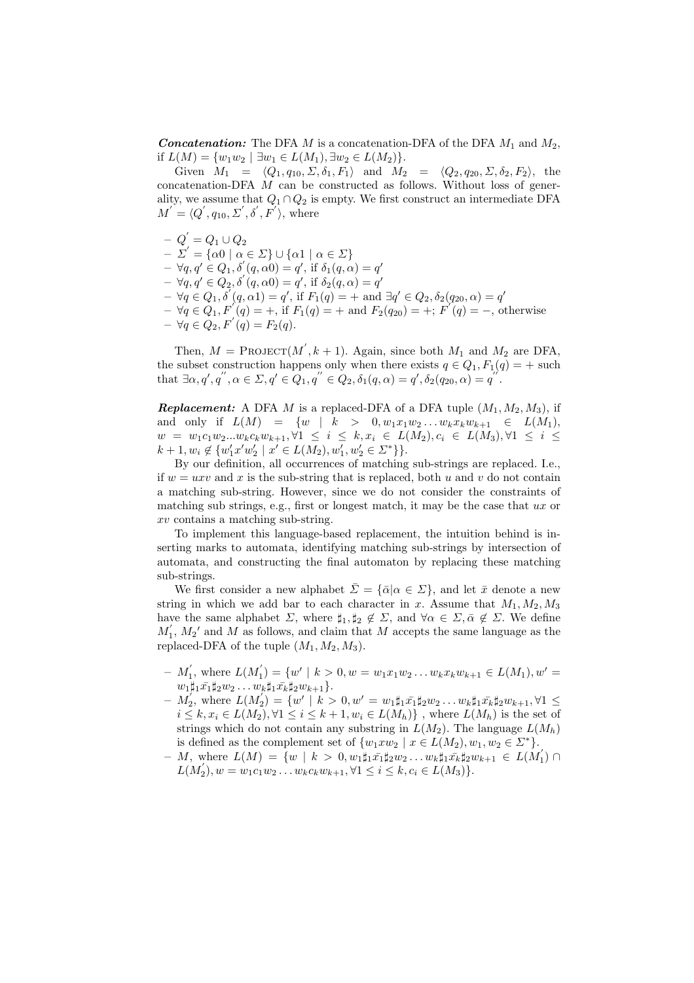**Concatenation:** The DFA M is a concatenation-DFA of the DFA  $M_1$  and  $M_2$ , if  $L(M) = \{w_1w_2 \mid \exists w_1 \in L(M_1), \exists w_2 \in L(M_2)\}.$ 

Given  $M_1 = \langle Q_1, q_{10}, \Sigma, \delta_1, F_1 \rangle$  and  $M_2 = \langle Q_2, q_{20}, \Sigma, \delta_2, F_2 \rangle$ , the concatenation-DFA  $\dot{M}$  can be constructed as follows. Without loss of generality, we assume that  $Q_1 \cap Q_2$  is empty. We first construct an intermediate DFA  $M^{'} = \langle Q^{'}, q_{10}, \Sigma^{'}, \delta^{'}, F^{'} \rangle$ , where

 $- \left| Q^{'} \right| = Q_1 \cup Q_2$  $-\Sigma' = {\alpha 0 \mid \alpha \in \Sigma} \cup {\alpha 1 \mid \alpha \in \Sigma}$  $-\forall q, q' \in Q_1, \delta'(q, \alpha) = q'$ , if  $\delta_1(q, \alpha) = q'$  $-\forall q, q' \in Q_2, \delta'(q, \alpha 0) = q', \text{ if } \delta_2(q, \alpha) = q'$  $-\forall q \in Q_1, \delta'(q, \alpha 1) = q', \text{ if } F_1(q) = + \text{ and } \exists q' \in Q_2, \delta_2(q_{20}, \alpha) = q'$  $-\forall q \in Q_1, F'(q) = +$ , if  $F_1(q) = +$  and  $F_2(q_{20}) = +$ ;  $F'(q) = -$ , otherwise  $- \forall q \in Q_2, F'(q) = F_2(q).$ 

Then,  $M = \text{PROJECT}(M', k+1)$ . Again, since both  $M_1$  and  $M_2$  are DFA, the subset construction happens only when there exists  $q \in Q_1, F_1(q) = +$  such that  $\exists \alpha, q', q'', \alpha \in \Sigma, q' \in \widehat{Q}_1, q'' \in \widehat{Q}_2, \delta_1(q, \alpha) = q', \delta_2(q_{20}, \alpha) = q''$ .

**Replacement:** A DFA M is a replaced-DFA of a DFA tuple  $(M_1, M_2, M_3)$ , if and only if  $L(M) = \{w \mid k > 0, w_1x_1w_2...w_kx_kw_{k+1} \in L(M_1),\}$  $w = w_1 c_1 w_2 ... w_k c_k w_{k+1}, \forall 1 \leq i \leq k, x_i \in L(M_2), c_i \in L(M_3), \forall 1 \leq i \leq k$  $k + 1, w_i \notin \{w'_1 x' w'_2 \mid x' \in L(M_2), w'_1, w'_2 \in \Sigma^* \}$ .

By our definition, all occurrences of matching sub-strings are replaced. I.e., if  $w = uxv$  and x is the sub-string that is replaced, both u and v do not contain a matching sub-string. However, since we do not consider the constraints of matching sub strings, e.g., first or longest match, it may be the case that  $ux$  or xv contains a matching sub-string.

To implement this language-based replacement, the intuition behind is inserting marks to automata, identifying matching sub-strings by intersection of automata, and constructing the final automaton by replacing these matching sub-strings.

We first consider a new alphabet  $\bar{\Sigma} = {\bar{\alpha} | \alpha \in \Sigma}$ , and let  $\bar{x}$  denote a new string in which we add bar to each character in x. Assume that  $M_1, M_2, M_3$ have the same alphabet  $\Sigma$ , where  $\sharp_1, \sharp_2 \notin \Sigma$ , and  $\forall \alpha \in \Sigma, \bar{\alpha} \notin \Sigma$ . We define  $M_1, M_2$ ' and M as follows, and claim that M accepts the same language as the replaced-DFA of the tuple  $(M_1, M_2, M_3)$ .

- $-M'_1$ , where  $L(M'_1) = \{w' \mid k > 0, w = w_1x_1w_2...w_kx_kw_{k+1} \in L(M_1), w' = 0\}$  $w_1\sharp_1\bar{x_1}\sharp_2w_2\ldots w_k\sharp_1\bar{x_k}\sharp_2w_{k+1}\}.$
- $-M_2,$  where  $L(M_2) = \{w' \mid k > 0, w' = w_1 \sharp_1 \bar{x_1} \sharp_2 w_2 \dots w_k \sharp_1 \bar{x_k} \sharp_2 w_{k+1}, \forall 1 \leq k \leq k \}$  $i \leq k, x_i \in L(M_2), \forall 1 \leq i \leq k+1, w_i \in L(M_h) \}$ , where  $L(M_h)$  is the set of strings which do not contain any substring in  $L(M_2)$ . The language  $L(M_h)$ is defined as the complement set of  $\{w_1xw_2 \mid x \in L(M_2), w_1, w_2 \in \Sigma^*\}.$
- $M$ , where  $L(M) = \{ w \mid k \geq 0, w_1 \sharp_1 \bar{x_1} \sharp_2 w_2 \ldots w_k \sharp_1 \bar{x_k} \sharp_2 w_{k+1} \in L(M'_1) \cap L(M'_2) \}$  $L(M'_2), w = w_1c_1w_2...w_kc_kw_{k+1}, \forall 1 \leq i \leq k, c_i \in L(M_3)$ .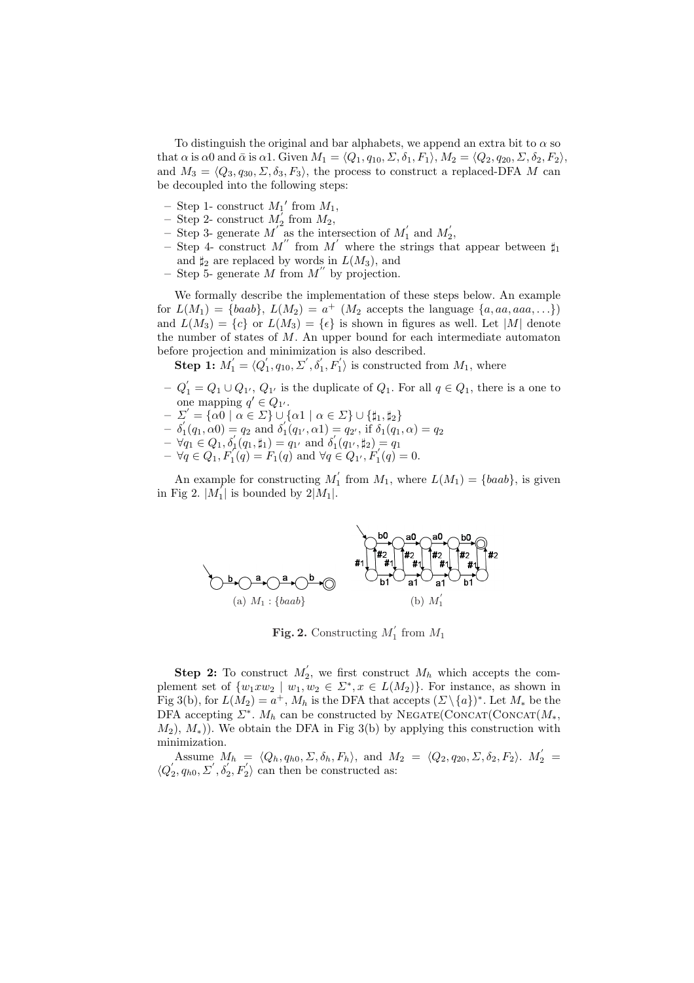To distinguish the original and bar alphabets, we append an extra bit to  $\alpha$  so that  $\alpha$  is  $\alpha$ 0 and  $\bar{\alpha}$  is  $\alpha$ 1. Given  $M_1 = \langle Q_1, q_{10}, \Sigma, \delta_1, F_1 \rangle$ ,  $M_2 = \langle Q_2, q_{20}, \Sigma, \delta_2, F_2 \rangle$ , and  $M_3 = \langle Q_3, q_{30}, \Sigma, \delta_3, F_3 \rangle$ , the process to construct a replaced-DFA M can be decoupled into the following steps:

- Step 1- construct  $M_1'$  from  $M_1$ ,
- Step 2- construct  $M_2^{\dagger}$  from  $M_2$ ,
- Step 3- generate  $M^{'}$  as the intersection of  $M'_1$  and  $M'_2$ ,
- Step 4- construct M'' from M' where the strings that appear between  $\sharp_1$ and  $\sharp_2$  are replaced by words in  $L(M_3)$ , and
- Step 5- generate M from  $M''$  by projection.

We formally describe the implementation of these steps below. An example for  $L(M_1) = \{baab\}, L(M_2) = a^+$  ( $M_2$  accepts the language  $\{a, aa, aaa, \ldots\}$ ) and  $L(M_3) = \{c\}$  or  $L(M_3) = \{\epsilon\}$  is shown in figures as well. Let |M| denote the number of states of  $M$ . An upper bound for each intermediate automaton before projection and minimization is also described.

**Step 1:**  $M'_1 = \langle Q'_1, q_{10}, \Sigma', \delta'_1, F'_1 \rangle$  is constructed from  $M_1$ , where

- $-Q'_1 = Q_1 \cup Q_{1'}$ ,  $Q_{1'}$  is the duplicate of  $Q_1$ . For all  $q \in Q_1$ , there is a one to one mapping  $q' \in Q_{1'}$ .
- $-\Sigma' = {\alpha 0 \mid \alpha \in \Sigma} \cup {\alpha 1 \mid \alpha \in \Sigma} \cup {\{\sharp_1, \sharp_2\}}$
- $-\delta_1'(q_1,\alpha_0) = q_2 \text{ and } \delta_1(q_1,\alpha_1) = q_2', \text{ if } \delta_1(q_1,\alpha) = q_2$
- $-\forall q_1 \in Q_1, \delta'_1(q_1, \sharp_1) = q_1$  and  $\delta'_1(q_1, \sharp_2) = q_1$
- $-\forall q \in Q_1, F'_1(q) = F_1(q)$  and  $\forall q \in Q_1, F'_1(q) = 0.$

An example for constructing  $M'_1$  from  $M_1$ , where  $L(M_1) = \{baab\}$ , is given in Fig 2.  $|M_1|$  is bounded by  $2|M_1|$ .



Fig. 2. Constructing  $M_1'$  from  $M_1$ 

**Step 2:** To construct  $M'_2$ , we first construct  $M_h$  which accepts the complement set of  $\{w_1 x w_2 \mid w_1, w_2 \in \Sigma^*, x \in L(M_2)\}\)$ . For instance, as shown in Fig 3(b), for  $L(M_2) = a^+$ ,  $M_h$  is the DFA that accepts  $(\Sigma \setminus \{a\})^*$ . Let  $M_*$  be the DFA accepting  $\Sigma^*$ .  $M_h$  can be constructed by NEGATE(CONCAT(CONCAT $(M_*,$  $(M_2)$ ,  $M_*)$ ). We obtain the DFA in Fig 3(b) by applying this construction with minimization.

Assume  $M_h = \langle Q_h, q_{h0}, \Sigma, \delta_h, F_h \rangle$ , and  $M_2 = \langle Q_2, q_{20}, \Sigma, \delta_2, F_2 \rangle$ .  $M_2' =$  $\langle Q_2, q_{h0}, \Sigma', \delta_2', F_2' \rangle$  can then be constructed as: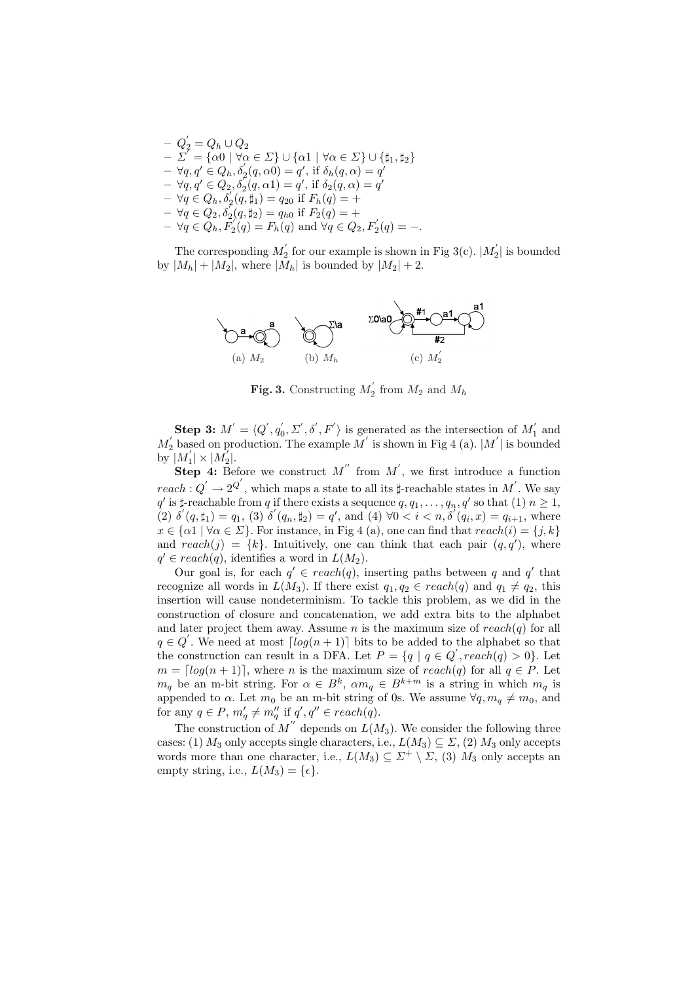$-\,\,Q_{2}^{'}=Q_{h}\cup Q_{2}$  $-\Sigma^{\uparrow} = {\alpha 0 \mid \forall \alpha \in \Sigma} \cup {\alpha 1 \mid \forall \alpha \in \Sigma} \cup {\{\sharp_1, \sharp_2\}}$  $-\forall q, q' \in Q_h, \delta'_2(q, \alpha 0) = q', \text{ if } \delta_h(q, \alpha) = q'$  $-\forall q, q' \in Q_2, \delta'_2(q, \alpha 1) = q', \text{ if } \delta_2(q, \alpha) = q'$  $-\forall q \in Q_h, \vec{\delta}_2(q, \sharp_1) = q_{20} \text{ if } F_h(q) = +$  $-\forall q \in Q_2, \delta_2(q, \sharp_2) = q_{h0}$  if  $F_2(q) = +$  $-\forall q \in Q_h, F_2(q) = F_h(q) \text{ and } \forall q \in Q_2, F_2(q) = -.$ 

The corresponding  $M_2^{'}$  for our example is shown in Fig 3(c).  $|M_2^{'}|$  is bounded by  $|M_h| + |M_2|$ , where  $|M_h|$  is bounded by  $|M_2| + 2$ .



**Fig. 3.** Constructing  $M'_2$  from  $M_2$  and  $M_h$ 

**Step 3:**  $M' = \langle Q', q'_0, \Sigma', \delta', F' \rangle$  is generated as the intersection of  $M'_1$  and  $M_2'$  based on production. The example  $M'$  is shown in Fig 4 (a).  $|M'|$  is bounded by  $|M_1'|\times|M_2'|.$ 

**Step 4:** Before we construct M'' from M', we first introduce a function  $reach: Q' \rightarrow 2^{Q'}$ , which maps a state to all its  $\sharp$ -reachable states in M'. We say  $q'$  is  $\sharp$ -reachable from q if there exists a sequence  $q, q_1, \ldots, q_n, q'$  so that (1)  $n \geq 1$ , (2)  $\delta'(q, \sharp_1) = q_1$ , (3)  $\delta'(q_n, \sharp_2) = q'$ , and (4)  $\forall 0 < i < n, \delta'(q_i, x) = q_{i+1}$ , where  $x \in {\{\alpha\}} \mid \forall \alpha \in \Sigma$ . For instance, in Fig 4 (a), one can find that  $reach(i) = \{j, k\}$ and reach $(j) = \{k\}$ . Intuitively, one can think that each pair  $(q, q')$ , where  $q' \in reach(q)$ , identifies a word in  $L(M_2)$ .

Our goal is, for each  $q' \in reach(q)$ , inserting paths between q and q' that recognize all words in  $L(M_3)$ . If there exist  $q_1, q_2 \in reach(q)$  and  $q_1 \neq q_2$ , this insertion will cause nondeterminism. To tackle this problem, as we did in the construction of closure and concatenation, we add extra bits to the alphabet and later project them away. Assume n is the maximum size of  $reach(q)$  for all  $q \in Q'$ . We need at most  $\lceil log(n+1) \rceil$  bits to be added to the alphabet so that the construction can result in a DFA. Let  $P = \{q \mid q \in Q', reach(q) > 0\}$ . Let  $m = \lfloor log(n + 1) \rfloor$ , where n is the maximum size of reach(q) for all  $q \in P$ . Let  $m_q$  be an m-bit string. For  $\alpha \in B^k$ ,  $\alpha m_q \in B^{k+m}$  is a string in which  $m_q$  is appended to  $\alpha$ . Let  $m_0$  be an m-bit string of 0s. We assume  $\forall q, m_q \neq m_0$ , and for any  $q \in P$ ,  $m'_q \neq m''_q$  if  $q', q'' \in reach(q)$ .

The construction of  $M''$  depends on  $L(M_3)$ . We consider the following three cases: (1)  $M_3$  only accepts single characters, i.e.,  $L(M_3) \subseteq \Sigma$ , (2)  $M_3$  only accepts words more than one character, i.e.,  $L(M_3) \subseteq \Sigma^+ \setminus \Sigma$ , (3)  $M_3$  only accepts an empty string, i.e.,  $L(M_3) = \{ \epsilon \}.$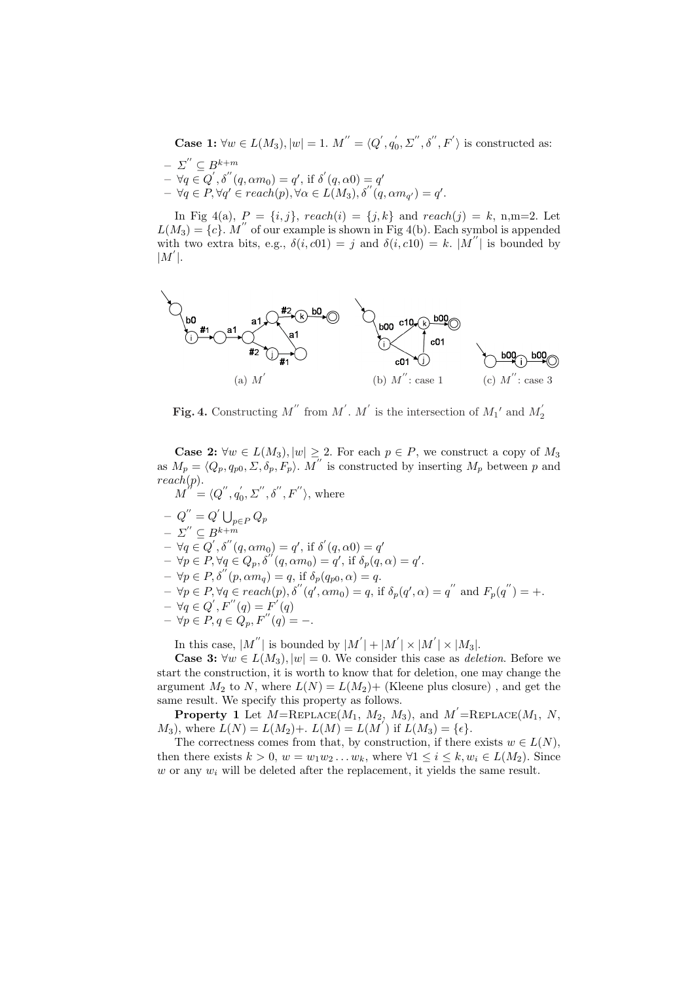**Case 1:**  $\forall w \in L(M_3), |w| = 1$ .  $M'' = \langle Q', q'_0, \Sigma'', \delta'', F' \rangle$  is constructed as:  $- \Sigma^{\prime\prime} \subseteq B^{k+m}$  $-\forall q \in Q', \delta''(q, \alpha m_0) = q', \text{ if } \delta'(q, \alpha 0) = q'$  $-\forall q \in P, \forall q' \in reach(p), \forall \alpha \in L(M_3), \delta''(q, \alpha m_{q'}) = q'.$ 

In Fig 4(a),  $P = \{i, j\}$ ,  $reach(i) = \{j, k\}$  and  $reach(j) = k$ , n,m=2. Let  $L(M_3) = \{c\}$ . M'' of our example is shown in Fig 4(b). Each symbol is appended with two extra bits, e.g.,  $\delta(i, c01) = j$  and  $\delta(i, c10) = k$ .  $|M''|$  is bounded by  $|M'|$ .



Fig. 4. Constructing M'' from M'. M' is the intersection of  $M_1'$  and  $M_2'$ 

**Case 2:**  $\forall w \in L(M_3), |w| \geq 2$ . For each  $p \in P$ , we construct a copy of  $M_3$ as  $M_p = \langle Q_p, q_{p0}, \Sigma, \delta_p, F_p \rangle$ . M'' is constructed by inserting  $M_p$  between p and  $reach(p).$ 

 $M^{'''} = \langle Q'', q_0', \Sigma'', \delta'', F'' \rangle$ , where

 $- Q'' = Q' \bigcup_{p \in P} Q_p$ 

 $- \Sigma^{''} \subseteq B^{k+m}$ 

 $-\forall q \in Q', \delta''(q, \alpha m_0) = q', \text{ if } \delta'(q, \alpha 0) = q'$  $-\forall p \in P, \forall q \in Q_p, \delta'(q, \alpha m_0) = q', \text{ if } \delta_p(q, \alpha) = q'.$ 

- $-\forall p \in P, \delta^{(n)}(p, \alpha m_q) = q$ , if  $\delta_p(q_{p0}, \alpha) = q$ .
- $-\forall p \in P, \forall q \in reach(p), \delta''(q', \alpha m_0) = q$ , if  $\delta_p(q', \alpha) = q''$  and  $F_p(q'') = +$ .
- $\forall q \in Q', F''(q) = F'(q)$
- $\forall p \in P, q \in Q_p, F''(q) = -.$

In this case,  $|M^{''}|$  is bounded by  $|M^{'}| + |M^{'}| \times |M^{'}| \times |M_3|$ .

**Case 3:**  $\forall w \in L(M_3), |w| = 0$ . We consider this case as *deletion*. Before we start the construction, it is worth to know that for deletion, one may change the argument  $M_2$  to N, where  $L(N) = L(M_2) +$  (Kleene plus closure), and get the same result. We specify this property as follows.

**Property 1** Let  $M = \text{REPLACE}(M_1, M_2, M_3)$ , and  $M' = \text{REPLACE}(M_1, N, M_2, M_3)$  $M_3$ , where  $L(N) = L(M_2) + L(M) = L(M')$  if  $L(M_3) = {\epsilon}.$ 

The correctness comes from that, by construction, if there exists  $w \in L(N)$ , then there exists  $k > 0$ ,  $w = w_1w_2...w_k$ , where  $\forall 1 \leq i \leq k, w_i \in L(M_2)$ . Since w or any  $w_i$  will be deleted after the replacement, it yields the same result.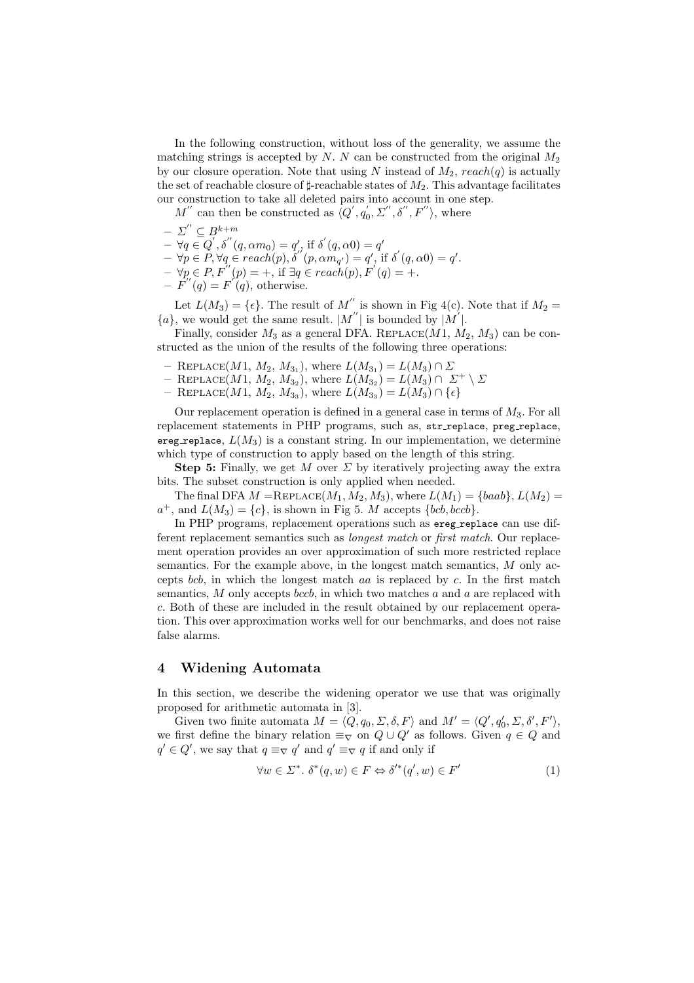In the following construction, without loss of the generality, we assume the matching strings is accepted by  $N$ .  $N$  can be constructed from the original  $M_2$ by our closure operation. Note that using N instead of  $M_2$ ,  $reach(q)$  is actually the set of reachable closure of  $\sharp$ -reachable states of  $M_2$ . This advantage facilitates our construction to take all deleted pairs into account in one step.

 $M''$  can then be constructed as  $\overline{\langle Q', q_0', \Sigma'', \delta'', F'' \rangle}$ , where

- $\Sigma^{''} \subseteq B^{k+m}$
- $-\forall q \in Q', \delta''(q, \alpha m_0) = q'$ , if  $\delta'(q, \alpha 0) = q'$
- $-\forall p \in P, \forall q \in reach(p), \delta'(p, \alpha m_{q'}) = q', \text{ if } \delta'(q, \alpha 0) = q'.$
- $-\forall p \in P, F^{(n)}(p) = +$ , if  $\exists q \in reach(p), F'(q) = +$ .
- $-F''(q)=F'(q)$ , otherwise.

Let  $L(M_3) = \{\epsilon\}$ . The result of  $M''$  is shown in Fig 4(c). Note that if  $M_2 =$  $\{a\}$ , we would get the same result.  $|M''|$  is bounded by  $|M'$ .

Finally, consider  $M_3$  as a general DFA. REPLACE( $M_1$ ,  $M_2$ ,  $M_3$ ) can be constructed as the union of the results of the following three operations:

- REPLACE(*M*1, *M*<sub>2</sub>, *M*<sub>3<sub>1</sub></sub>), where  $L(M_{3_1}) = L(M_3) \cap \Sigma$
- $-$  REPLACE(M1,  $M_2$ ,  $M_3$ ), where  $L(M_3) = L(M_3) \cap \Sigma^+ \setminus \Sigma$
- $-$  REPLACE(*M*1, *M*<sub>2</sub>, *M*<sub>3<sub>3</sub></sub>), where  $L(M_{3_3}) = L(M_3) \cap \{\epsilon\}$

Our replacement operation is defined in a general case in terms of  $M_3$ . For all replacement statements in PHP programs, such as, str replace, preg replace, ereg replace,  $L(M_3)$  is a constant string. In our implementation, we determine which type of construction to apply based on the length of this string.

**Step 5:** Finally, we get M over  $\Sigma$  by iteratively projecting away the extra bits. The subset construction is only applied when needed.

The final DFA  $M = \text{REPLACE}(M_1, M_2, M_3)$ , where  $L(M_1) = \{baab\}, L(M_2) =$  $a^+$ , and  $L(M_3) = \{c\}$ , is shown in Fig 5. M accepts  $\{bcb, bccb\}$ .

In PHP programs, replacement operations such as ereg replace can use different replacement semantics such as longest match or first match. Our replacement operation provides an over approximation of such more restricted replace semantics. For the example above, in the longest match semantics, M only accepts bcb, in which the longest match  $aa$  is replaced by  $c$ . In the first match semantics,  $M$  only accepts *bccb*, in which two matches  $a$  and  $a$  are replaced with c. Both of these are included in the result obtained by our replacement operation. This over approximation works well for our benchmarks, and does not raise false alarms.

# 4 Widening Automata

In this section, we describe the widening operator we use that was originally proposed for arithmetic automata in [3].

Given two finite automata  $M = \langle \overline{Q}, q_0, \Sigma, \delta, F \rangle$  and  $M' = \langle Q', q'_0, \Sigma, \delta', F' \rangle$ , we first define the binary relation  $\equiv_{\nabla}$  on  $Q \cup Q'$  as follows. Given  $q \in Q$  and  $q' \in Q'$ , we say that  $q \equiv_{\nabla} q'$  and  $q' \equiv_{\nabla} q$  if and only if

$$
\forall w \in \Sigma^*, \ \delta^*(q, w) \in F \Leftrightarrow \delta'^*(q', w) \in F' \tag{1}
$$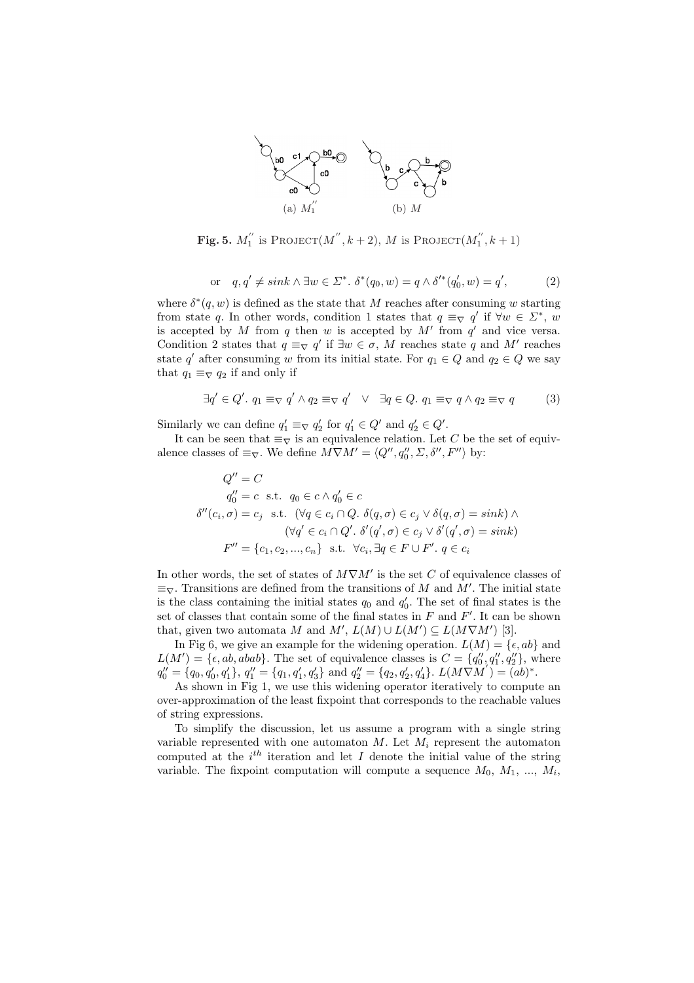

Fig. 5.  $M_1^{''}$  is Project $(M'', k + 2)$ , M is Project $(M_1'', k + 1)$ 

$$
\text{or} \quad q, q' \neq sink \land \exists w \in \Sigma^*.\ \delta^*(q_0, w) = q \land \delta'^*(q'_0, w) = q',\tag{2}
$$

where  $\delta^*(q, w)$  is defined as the state that M reaches after consuming w starting from state q. In other words, condition 1 states that  $q \equiv_{\nabla} q'$  if  $\forall w \in \Sigma^*$ , w is accepted by M from q then w is accepted by  $M'$  from  $q'$  and vice versa. Condition 2 states that  $q \equiv_{\nabla} q'$  if  $\exists w \in \sigma$ , M reaches state q and M' reaches state q' after consuming w from its initial state. For  $q_1 \in Q$  and  $q_2 \in Q$  we say that  $q_1 \equiv_{\nabla} q_2$  if and only if

$$
\exists q' \in Q'.\ q_1 \equiv_{\nabla} q' \land q_2 \equiv_{\nabla} q' \quad \lor \quad \exists q \in Q.\ q_1 \equiv_{\nabla} q \land q_2 \equiv_{\nabla} q \tag{3}
$$

Similarly we can define  $q'_1 \equiv_{\nabla} q'_2$  for  $q'_1 \in Q'$  and  $q'_2 \in Q'$ .

It can be seen that  $\equiv_{\nabla}$  is an equivalence relation. Let C be the set of equivalence classes of  $\equiv_{\nabla}$ . We define  $M \nabla M' = \langle Q'', q_0'', \Sigma, \delta'', F'' \rangle$  by:

$$
Q'' = C
$$
  
\n
$$
q''_0 = c \text{ s.t. } q_0 \in c \land q'_0 \in c
$$
  
\n
$$
\delta''(c_i, \sigma) = c_j \text{ s.t. } (\forall q \in c_i \cap Q. \ \delta(q, \sigma) \in c_j \lor \delta(q, \sigma) = sink) \land
$$
  
\n
$$
(\forall q' \in c_i \cap Q'. \ \delta'(q', \sigma) \in c_j \lor \delta'(q', \sigma) = sink)
$$
  
\n
$$
F'' = \{c_1, c_2, ..., c_n\} \text{ s.t. } \forall c_i, \exists q \in F \cup F'. \ q \in c_i
$$

In other words, the set of states of  $M\nabla M'$  is the set C of equivalence classes of  $\equiv_{\nabla}$ . Transitions are defined from the transitions of M and M'. The initial state is the class containing the initial states  $q_0$  and  $q'_0$ . The set of final states is the set of classes that contain some of the final states in  $F$  and  $F'$ . It can be shown that, given two automata M and  $M'$ ,  $L(M) \cup L(M') \subseteq L(M\nabla M')$  [3].

In Fig 6, we give an example for the widening operation.  $L(M) = \{ \epsilon, ab \}$  and  $L(M') = \{\epsilon, ab, abab\}.$  The set of equivalence classes is  $C = \{q''_0, q''_1, q''_2\},\$  where  $q_0'' = \{q_0, q_0', q_1'\}, q_1'' = \{q_1, q_1', q_3'\}$  and  $q_2'' = \{q_2, q_2', q_4'\}. L(M\overrightarrow{VM}') = (ab)^*.$ 

As shown in Fig 1, we use this widening operator iteratively to compute an over-approximation of the least fixpoint that corresponds to the reachable values of string expressions.

To simplify the discussion, let us assume a program with a single string variable represented with one automaton  $M$ . Let  $M_i$  represent the automaton computed at the  $i<sup>th</sup>$  iteration and let I denote the initial value of the string variable. The fixpoint computation will compute a sequence  $M_0, M_1, ..., M_i$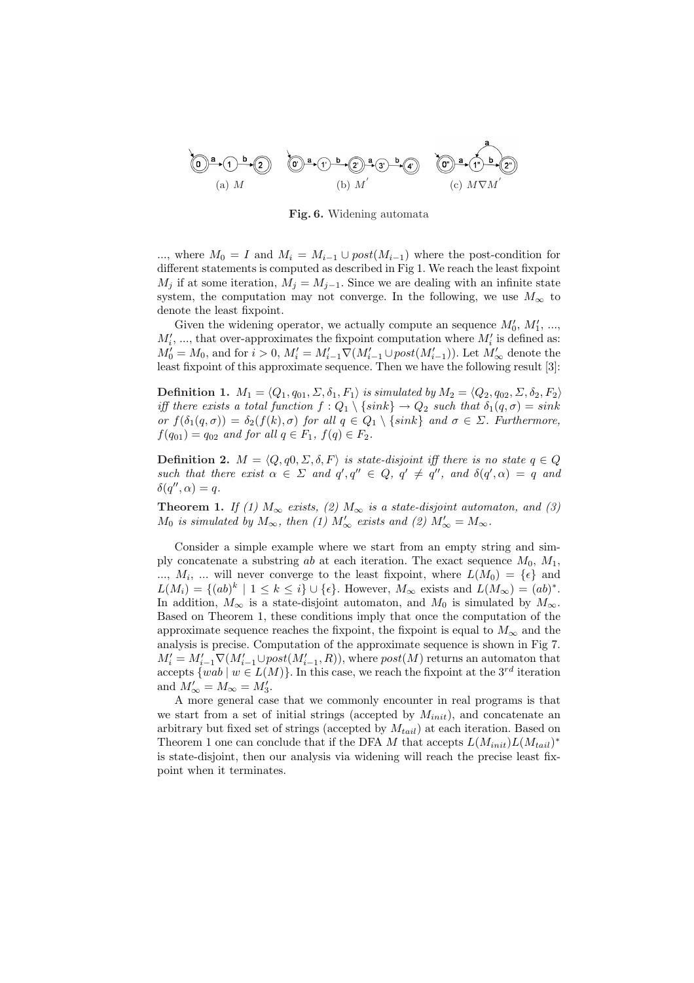

Fig. 6. Widening automata

..., where  $M_0 = I$  and  $M_i = M_{i-1} \cup post(M_{i-1})$  where the post-condition for different statements is computed as described in Fig 1. We reach the least fixpoint  $M_j$  if at some iteration,  $M_j = M_{j-1}$ . Since we are dealing with an infinite state system, the computation may not converge. In the following, we use  $M_{\infty}$  to denote the least fixpoint.

Given the widening operator, we actually compute an sequence  $M'_0, M'_1, ...,$  $M'_i$ , ..., that over-approximates the fixpoint computation where  $M'_i$  is defined as:  $M_0' = M_0$ , and for  $i > 0$ ,  $M_i' = M_{i-1}' \nabla(M_{i-1}' \cup post(M_{i-1}'))$ . Let  $M_\infty'$  denote the least fixpoint of this approximate sequence. Then we have the following result [3]:

**Definition 1.**  $M_1 = \langle Q_1, q_{01}, \Sigma, \delta_1, F_1 \rangle$  is simulated by  $M_2 = \langle Q_2, q_{02}, \Sigma, \delta_2, F_2 \rangle$ iff there exists a total function  $f: Q_1 \setminus \{sink\} \to Q_2$  such that  $\delta_1(q, \sigma) = sink$ or  $f(\delta_1(q,\sigma)) = \delta_2(f(k),\sigma)$  for all  $q \in Q_1 \setminus \{sink\}$  and  $\sigma \in \Sigma$ . Furthermore,  $f(q_{01}) = q_{02}$  and for all  $q \in F_1$ ,  $f(q) \in F_2$ .

**Definition 2.**  $M = \langle Q, q0, \Sigma, \delta, F \rangle$  is state-disjoint iff there is no state  $q \in Q$ such that there exist  $\alpha \in \Sigma$  and  $q', q'' \in Q, q' \neq q''$ , and  $\delta(q', \alpha) = q$  and  $\delta(q'', \alpha) = q.$ 

**Theorem 1.** If (1)  $M_{\infty}$  exists, (2)  $M_{\infty}$  is a state-disjoint automaton, and (3)  $M_0$  is simulated by  $M_{\infty}$ , then (1)  $M'_{\infty}$  exists and (2)  $M'_{\infty} = M_{\infty}$ .

Consider a simple example where we start from an empty string and simply concatenate a substring ab at each iteration. The exact sequence  $M_0$ ,  $M_1$ ,  $..., M_i, ...$  will never converge to the least fixpoint, where  $L(M_0) = \{ \epsilon \}$  and  $L(M_i) = \{ (ab)^k \mid 1 \leq k \leq i \} \cup \{ \epsilon \}.$  However,  $M_{\infty}$  exists and  $L(M_{\infty}) = (ab)^*$ . In addition,  $M_{\infty}$  is a state-disjoint automaton, and  $M_0$  is simulated by  $M_{\infty}$ . Based on Theorem 1, these conditions imply that once the computation of the approximate sequence reaches the fixpoint, the fixpoint is equal to  $M_{\infty}$  and the analysis is precise. Computation of the approximate sequence is shown in Fig 7.  $M_i' = M_{i-1}' \nabla(M_{i-1}' \cup post(M_{i-1}', R)),$  where  $post(M)$  returns an automaton that accepts  $\{wab \mid w \in L(M)\}\.$  In this case, we reach the fixpoint at the  $3^{rd}$  iteration and  $M'_{\infty} = M_{\infty} = M'_{3}.$ 

A more general case that we commonly encounter in real programs is that we start from a set of initial strings (accepted by  $M_{init}$ ), and concatenate an arbitrary but fixed set of strings (accepted by  $M_{tail}$ ) at each iteration. Based on Theorem 1 one can conclude that if the DFA M that accepts  $L(M_{init})L(M_{tail})^*$ is state-disjoint, then our analysis via widening will reach the precise least fixpoint when it terminates.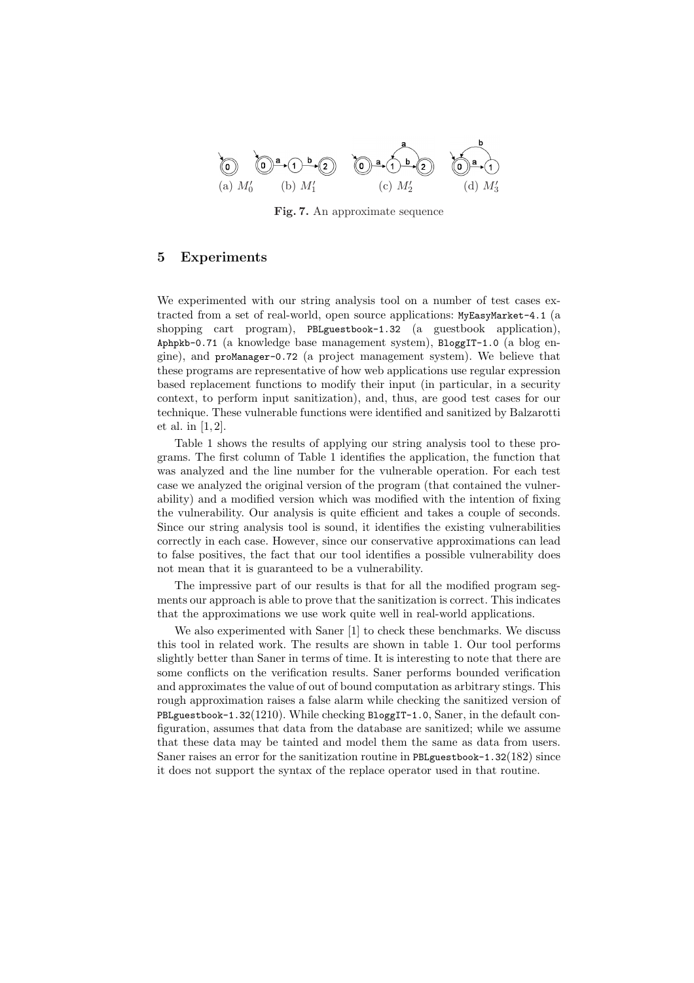

Fig. 7. An approximate sequence

# 5 Experiments

We experimented with our string analysis tool on a number of test cases extracted from a set of real-world, open source applications: MyEasyMarket-4.1 (a shopping cart program), PBLguestbook-1.32 (a guestbook application), Aphpkb-0.71 (a knowledge base management system), BloggIT-1.0 (a blog engine), and proManager-0.72 (a project management system). We believe that these programs are representative of how web applications use regular expression based replacement functions to modify their input (in particular, in a security context, to perform input sanitization), and, thus, are good test cases for our technique. These vulnerable functions were identified and sanitized by Balzarotti et al. in [1, 2].

Table 1 shows the results of applying our string analysis tool to these programs. The first column of Table 1 identifies the application, the function that was analyzed and the line number for the vulnerable operation. For each test case we analyzed the original version of the program (that contained the vulnerability) and a modified version which was modified with the intention of fixing the vulnerability. Our analysis is quite efficient and takes a couple of seconds. Since our string analysis tool is sound, it identifies the existing vulnerabilities correctly in each case. However, since our conservative approximations can lead to false positives, the fact that our tool identifies a possible vulnerability does not mean that it is guaranteed to be a vulnerability.

The impressive part of our results is that for all the modified program segments our approach is able to prove that the sanitization is correct. This indicates that the approximations we use work quite well in real-world applications.

We also experimented with Saner [1] to check these benchmarks. We discuss this tool in related work. The results are shown in table 1. Our tool performs slightly better than Saner in terms of time. It is interesting to note that there are some conflicts on the verification results. Saner performs bounded verification and approximates the value of out of bound computation as arbitrary stings. This rough approximation raises a false alarm while checking the sanitized version of PBLguestbook-1.32(1210). While checking BloggIT-1.0, Saner, in the default configuration, assumes that data from the database are sanitized; while we assume that these data may be tainted and model them the same as data from users. Saner raises an error for the sanitization routine in PBLguestbook-1.32(182) since it does not support the syntax of the replace operator used in that routine.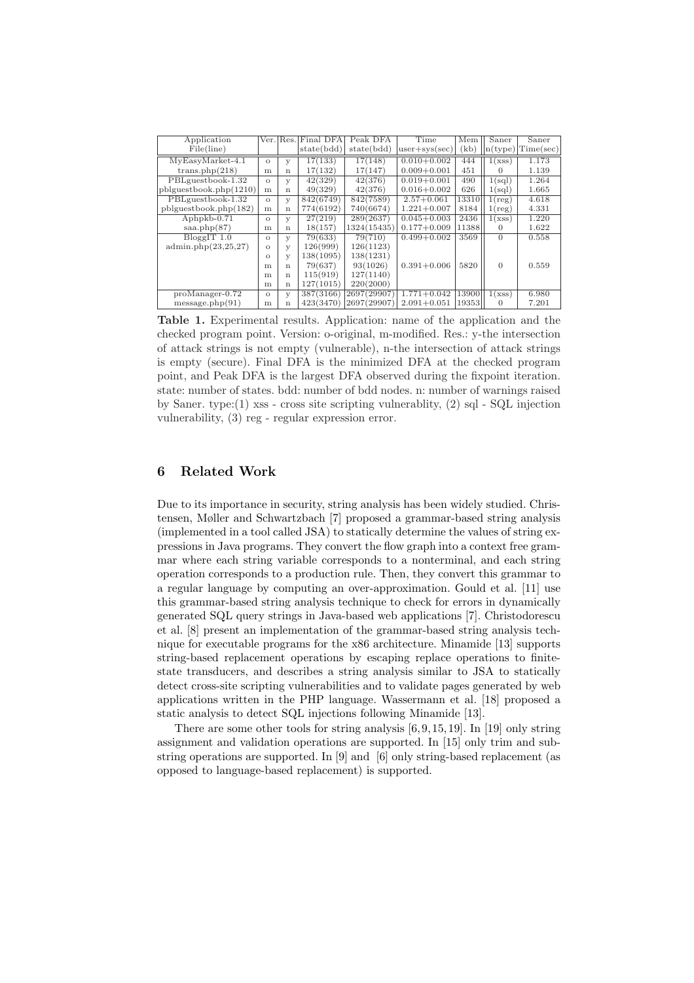| Application           |          | Ver. Res.   | Final DFA  | Peak DFA    | Time            | Mem   | Saner                      | Saner                               |
|-----------------------|----------|-------------|------------|-------------|-----------------|-------|----------------------------|-------------------------------------|
| File(line)            |          |             | state(bdd) | state(bdd)  | $user+sys(sec)$ | (kb)  |                            | $\lfloor n(type) \rfloor$ Time(sec) |
| $MyEasy Market-4.1$   | $\circ$  | У           | 17(133)    | 17(148)     | $0.010 + 0.002$ | 444   | $\overline{1}(\text{xss})$ | 1.173                               |
| trans.php(218)        | m        | $\mathbf n$ | 17(132)    | 17(147)     | $0.009 + 0.001$ | 451   | 0                          | 1.139                               |
| PBLguestbook-1.32     | $\Omega$ | У           | 42(329)    | 42(376)     | $0.019 + 0.001$ | 490   | 1(sql)                     | 1.264                               |
| phguestbook.php(1210) | m        | $\mathbf n$ | 49(329)    | 42(376)     | $0.016 + 0.002$ | 626   | 1(sql)                     | 1.665                               |
| PBLguestbook-1.32     | $\Omega$ | У           | 842(6749)  | 842(7589)   | $2.57 + 0.061$  | 13310 | $1(\text{reg})$            | 4.618                               |
| phlquestbook.php(182) | m        | $\mathbf n$ | 774(6192)  | 740(6674)   | $1.221 + 0.007$ | 8184  | $1(\text{reg})$            | 4.331                               |
| $Aphpkb-0.71$         | $\Omega$ | У           | 27(219)    | 289(2637)   | $0.045 + 0.003$ | 2436  | 1(xss)                     | 1.220                               |
| saa.php(87)           | m        | $\mathbf n$ | 18(157)    | 1324(15435) | $0.177 + 0.009$ | 11388 | $\Omega$                   | 1.622                               |
| $BloggIT$ 1.0         | $\Omega$ | У           | 79(633)    | 79(710)     | $0.499 + 0.002$ | 3569  | $\Omega$                   | 0.558                               |
| admin.php(23,25,27)   | $\Omega$ | У           | 126(999)   | 126(1123)   |                 |       |                            |                                     |
|                       | $\Omega$ | У           | 138(1095)  | 138(1231)   |                 |       |                            |                                     |
|                       | m        | $\mathbf n$ | 79(637)    | 93(1026)    | $0.391 + 0.006$ | 5820  | $\Omega$                   | 0.559                               |
|                       | m        | $\mathbf n$ | 115(919)   | 127(1140)   |                 |       |                            |                                     |
|                       | m        | $\mathbf n$ | 127(1015)  | 220(2000)   |                 |       |                            |                                     |
| $proManager-0.72$     | $\circ$  | у           | 387(3166)  | 2697(29907) | $1.771 + 0.042$ | 13900 | 1(xss)                     | 6.980                               |
| message.php(91)       | m        | $\mathbf n$ | 423(3470)  | 2697(29907) | $2.091 + 0.051$ | 19353 | 0                          | 7.201                               |

Table 1. Experimental results. Application: name of the application and the checked program point. Version: o-original, m-modified. Res.: y-the intersection of attack strings is not empty (vulnerable), n-the intersection of attack strings is empty (secure). Final DFA is the minimized DFA at the checked program point, and Peak DFA is the largest DFA observed during the fixpoint iteration. state: number of states. bdd: number of bdd nodes. n: number of warnings raised by Saner. type:(1) xss - cross site scripting vulnerablity, (2) sql - SQL injection vulnerability, (3) reg - regular expression error.

## 6 Related Work

Due to its importance in security, string analysis has been widely studied. Christensen, Møller and Schwartzbach [7] proposed a grammar-based string analysis (implemented in a tool called JSA) to statically determine the values of string expressions in Java programs. They convert the flow graph into a context free grammar where each string variable corresponds to a nonterminal, and each string operation corresponds to a production rule. Then, they convert this grammar to a regular language by computing an over-approximation. Gould et al. [11] use this grammar-based string analysis technique to check for errors in dynamically generated SQL query strings in Java-based web applications [7]. Christodorescu et al. [8] present an implementation of the grammar-based string analysis technique for executable programs for the x86 architecture. Minamide [13] supports string-based replacement operations by escaping replace operations to finitestate transducers, and describes a string analysis similar to JSA to statically detect cross-site scripting vulnerabilities and to validate pages generated by web applications written in the PHP language. Wassermann et al. [18] proposed a static analysis to detect SQL injections following Minamide [13].

There are some other tools for string analysis  $[6, 9, 15, 19]$ . In [19] only string assignment and validation operations are supported. In [15] only trim and substring operations are supported. In [9] and [6] only string-based replacement (as opposed to language-based replacement) is supported.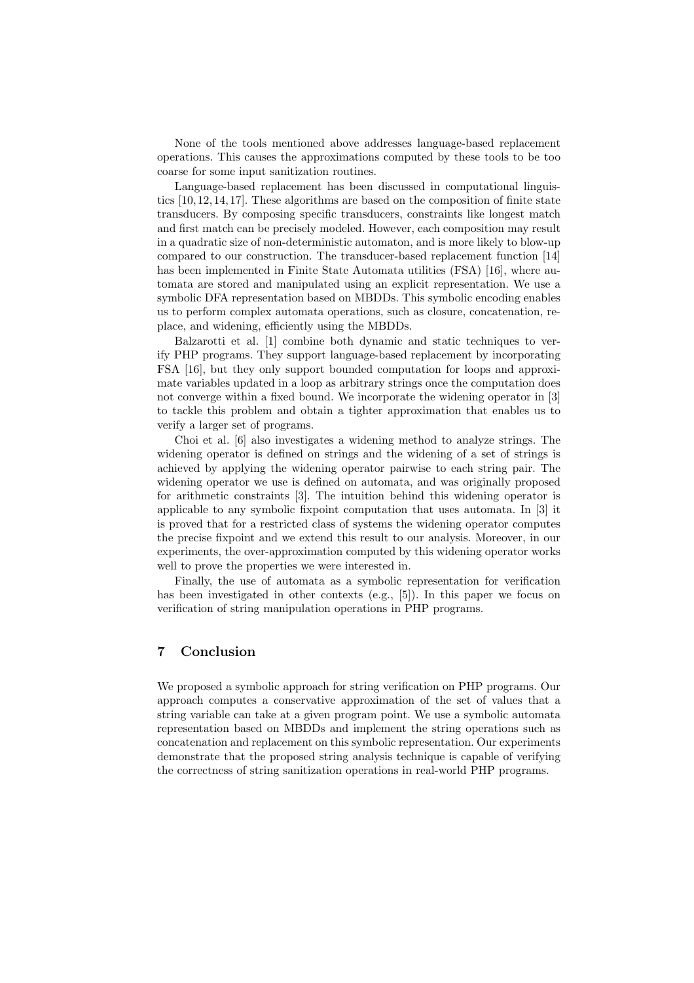None of the tools mentioned above addresses language-based replacement operations. This causes the approximations computed by these tools to be too coarse for some input sanitization routines.

Language-based replacement has been discussed in computational linguistics [10, 12, 14, 17]. These algorithms are based on the composition of finite state transducers. By composing specific transducers, constraints like longest match and first match can be precisely modeled. However, each composition may result in a quadratic size of non-deterministic automaton, and is more likely to blow-up compared to our construction. The transducer-based replacement function [14] has been implemented in Finite State Automata utilities (FSA) [16], where automata are stored and manipulated using an explicit representation. We use a symbolic DFA representation based on MBDDs. This symbolic encoding enables us to perform complex automata operations, such as closure, concatenation, replace, and widening, efficiently using the MBDDs.

Balzarotti et al. [1] combine both dynamic and static techniques to verify PHP programs. They support language-based replacement by incorporating FSA [16], but they only support bounded computation for loops and approximate variables updated in a loop as arbitrary strings once the computation does not converge within a fixed bound. We incorporate the widening operator in [3] to tackle this problem and obtain a tighter approximation that enables us to verify a larger set of programs.

Choi et al. [6] also investigates a widening method to analyze strings. The widening operator is defined on strings and the widening of a set of strings is achieved by applying the widening operator pairwise to each string pair. The widening operator we use is defined on automata, and was originally proposed for arithmetic constraints [3]. The intuition behind this widening operator is applicable to any symbolic fixpoint computation that uses automata. In [3] it is proved that for a restricted class of systems the widening operator computes the precise fixpoint and we extend this result to our analysis. Moreover, in our experiments, the over-approximation computed by this widening operator works well to prove the properties we were interested in.

Finally, the use of automata as a symbolic representation for verification has been investigated in other contexts (e.g., [5]). In this paper we focus on verification of string manipulation operations in PHP programs.

## 7 Conclusion

We proposed a symbolic approach for string verification on PHP programs. Our approach computes a conservative approximation of the set of values that a string variable can take at a given program point. We use a symbolic automata representation based on MBDDs and implement the string operations such as concatenation and replacement on this symbolic representation. Our experiments demonstrate that the proposed string analysis technique is capable of verifying the correctness of string sanitization operations in real-world PHP programs.